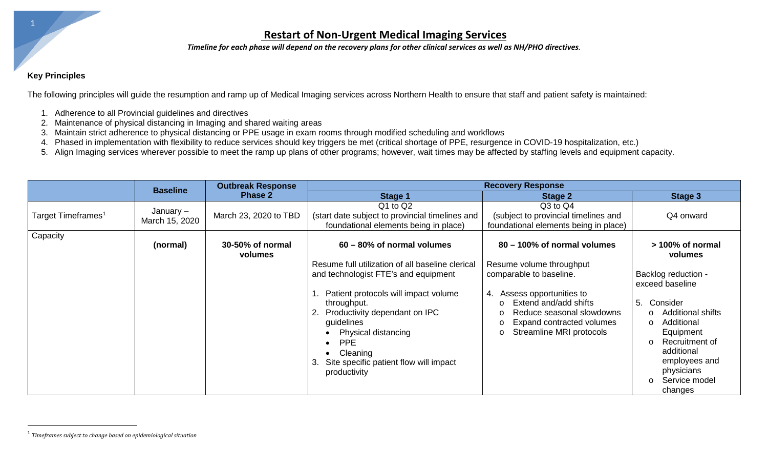### <span id="page-0-0"></span>**Restart of Non-Urgent Medical Imaging Services**

*Timeline for each phase will depend on the recovery plans for other clinical services as well as NH/PHO directives.*

#### **Key Principles**

The following principles will guide the resumption and ramp up of Medical Imaging services across Northern Health to ensure that staff and patient safety is maintained:

- 1. Adherence to all Provincial guidelines and directives
- 2. Maintenance of physical distancing in Imaging and shared waiting areas
- 3. Maintain strict adherence to physical distancing or PPE usage in exam rooms through modified scheduling and workflows
- 4. Phased in implementation with flexibility to reduce services should key triggers be met (critical shortage of PPE, resurgence in COVID-19 hospitalization, etc.)
- 5. Align Imaging services wherever possible to meet the ramp up plans of other programs; however, wait times may be affected by staffing levels and equipment capacity.

|                                | <b>Baseline</b>             | <b>Outbreak Response</b><br><b>Phase 2</b> | <b>Recovery Response</b>                                                                                                                                                                                                                                                                                                           |                                                                                                                                                                                                                                                  |                                                                                                                                                                                                                                                     |
|--------------------------------|-----------------------------|--------------------------------------------|------------------------------------------------------------------------------------------------------------------------------------------------------------------------------------------------------------------------------------------------------------------------------------------------------------------------------------|--------------------------------------------------------------------------------------------------------------------------------------------------------------------------------------------------------------------------------------------------|-----------------------------------------------------------------------------------------------------------------------------------------------------------------------------------------------------------------------------------------------------|
|                                |                             |                                            | <b>Stage 1</b>                                                                                                                                                                                                                                                                                                                     | <b>Stage 2</b>                                                                                                                                                                                                                                   | Stage 3                                                                                                                                                                                                                                             |
| Target Timeframes <sup>1</sup> | January –<br>March 15, 2020 | March 23, 2020 to TBD                      | $Q1$ to $Q2$<br>(start date subject to provincial timelines and<br>foundational elements being in place)                                                                                                                                                                                                                           | Q3 to Q4<br>(subject to provincial timelines and<br>foundational elements being in place)                                                                                                                                                        | Q4 onward                                                                                                                                                                                                                                           |
| Capacity                       | (normal)                    | 30-50% of normal<br>volumes                | 60 – 80% of normal volumes                                                                                                                                                                                                                                                                                                         | 80 - 100% of normal volumes                                                                                                                                                                                                                      | $>100\%$ of normal<br>volumes                                                                                                                                                                                                                       |
|                                |                             |                                            | Resume full utilization of all baseline clerical<br>and technologist FTE's and equipment<br>1. Patient protocols will impact volume<br>throughput.<br>2. Productivity dependant on IPC<br>guidelines<br>Physical distancing<br><b>PPE</b><br>$\bullet$<br>Cleaning<br>Site specific patient flow will impact<br>3.<br>productivity | Resume volume throughput<br>comparable to baseline.<br>Assess opportunities to<br>4.<br>Extend and/add shifts<br>$\Omega$<br>Reduce seasonal slowdowns<br>$\circ$<br>Expand contracted volumes<br>$\circ$<br>Streamline MRI protocols<br>$\circ$ | Backlog reduction -<br>exceed baseline<br>5. Consider<br><b>Additional shifts</b><br>$\circ$<br>Additional<br>$\circ$<br>Equipment<br>Recruitment of<br>$\circ$<br>additional<br>employees and<br>physicians<br>Service model<br>$\circ$<br>changes |

l

<sup>1</sup> *Timeframes subject to change based on epidemiological situation*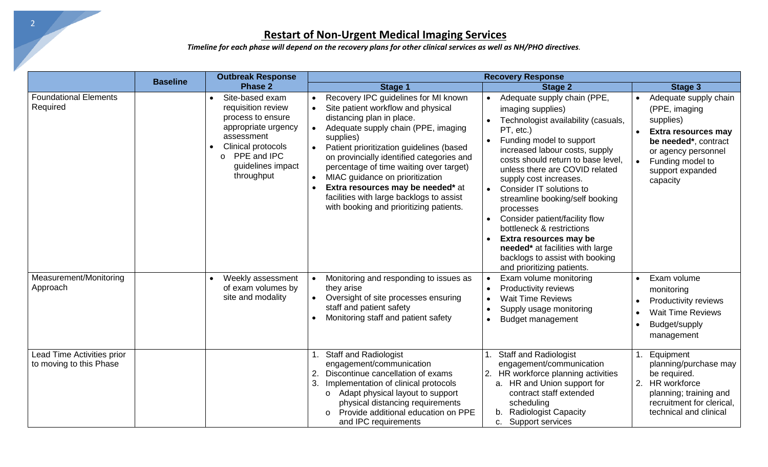# **Restart of Non-Urgent Medical Imaging Services**

*Timeline for each phase will depend on the recovery plans for other clinical services as well as NH/PHO directives.*

|                                                       | <b>Baseline</b> | <b>Outbreak Response</b>                                                                                                                                                           | <b>Recovery Response</b>                                                                                                                                                                                                                                                                                                                                                                                                                                       |                                                                                                                                                                                                                                                                                                                                                                                                                                                                                                                                                                                                    |                                                                                                                                                                                      |
|-------------------------------------------------------|-----------------|------------------------------------------------------------------------------------------------------------------------------------------------------------------------------------|----------------------------------------------------------------------------------------------------------------------------------------------------------------------------------------------------------------------------------------------------------------------------------------------------------------------------------------------------------------------------------------------------------------------------------------------------------------|----------------------------------------------------------------------------------------------------------------------------------------------------------------------------------------------------------------------------------------------------------------------------------------------------------------------------------------------------------------------------------------------------------------------------------------------------------------------------------------------------------------------------------------------------------------------------------------------------|--------------------------------------------------------------------------------------------------------------------------------------------------------------------------------------|
|                                                       |                 | <b>Phase 2</b>                                                                                                                                                                     | Stage 1                                                                                                                                                                                                                                                                                                                                                                                                                                                        | <b>Stage 2</b>                                                                                                                                                                                                                                                                                                                                                                                                                                                                                                                                                                                     | Stage 3                                                                                                                                                                              |
| <b>Foundational Elements</b><br>Required              |                 | Site-based exam<br>requisition review<br>process to ensure<br>appropriate urgency<br>assessment<br>Clinical protocols<br>PPE and IPC<br>$\circ$<br>guidelines impact<br>throughput | Recovery IPC guidelines for MI known<br>Site patient workflow and physical<br>distancing plan in place.<br>Adequate supply chain (PPE, imaging<br>supplies)<br>Patient prioritization guidelines (based<br>on provincially identified categories and<br>percentage of time waiting over target)<br>MIAC guidance on prioritization<br>Extra resources may be needed* at<br>facilities with large backlogs to assist<br>with booking and prioritizing patients. | Adequate supply chain (PPE,<br>$\bullet$<br>imaging supplies)<br>Technologist availability (casuals,<br>PT, etc.)<br>Funding model to support<br>$\bullet$<br>increased labour costs, supply<br>costs should return to base level,<br>unless there are COVID related<br>supply cost increases.<br>Consider IT solutions to<br>$\bullet$<br>streamline booking/self booking<br>processes<br>Consider patient/facility flow<br>$\bullet$<br>bottleneck & restrictions<br>Extra resources may be<br>needed* at facilities with large<br>backlogs to assist with booking<br>and prioritizing patients. | Adequate supply chain<br>(PPE, imaging<br>supplies)<br><b>Extra resources may</b><br>be needed*, contract<br>or agency personnel<br>Funding model to<br>support expanded<br>capacity |
| Measurement/Monitoring<br>Approach                    |                 | Weekly assessment<br>of exam volumes by<br>site and modality                                                                                                                       | Monitoring and responding to issues as<br>they arise<br>Oversight of site processes ensuring<br>staff and patient safety<br>Monitoring staff and patient safety                                                                                                                                                                                                                                                                                                | Exam volume monitoring<br>$\bullet$<br>Productivity reviews<br>$\bullet$<br><b>Wait Time Reviews</b><br>$\bullet$<br>Supply usage monitoring<br>$\bullet$<br><b>Budget management</b><br>$\bullet$                                                                                                                                                                                                                                                                                                                                                                                                 | Exam volume<br>monitoring<br><b>Productivity reviews</b><br><b>Wait Time Reviews</b><br>Budget/supply<br>management                                                                  |
| Lead Time Activities prior<br>to moving to this Phase |                 |                                                                                                                                                                                    | <b>Staff and Radiologist</b><br>engagement/communication<br>Discontinue cancellation of exams<br>2.<br>Implementation of clinical protocols<br>3.<br>Adapt physical layout to support<br>$\circ$<br>physical distancing requirements<br>Provide additional education on PPE<br>$\circ$<br>and IPC requirements                                                                                                                                                 | <b>Staff and Radiologist</b><br>engagement/communication<br>HR workforce planning activities<br>2.<br>a. HR and Union support for<br>contract staff extended<br>scheduling<br><b>Radiologist Capacity</b><br>b.<br>Support services<br>C.                                                                                                                                                                                                                                                                                                                                                          | Equipment<br>planning/purchase may<br>be required.<br>2. HR workforce<br>planning; training and<br>recruitment for clerical,<br>technical and clinical                               |